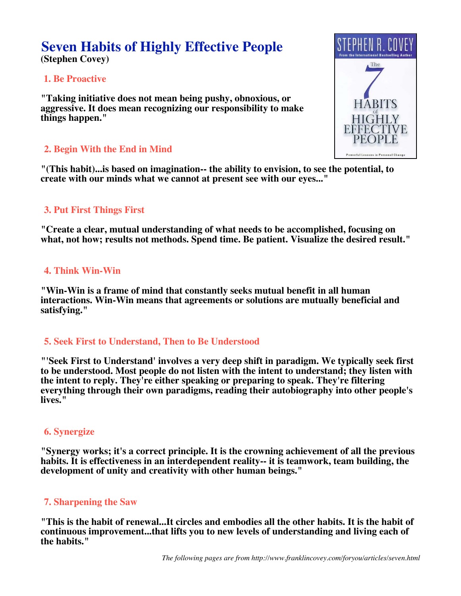# **Seven Habits of Highly Effective People (Stephen Covey)**

# **1. Be Proactive**

**"Taking initiative does not mean being pushy, obnoxious, or aggressive. It does mean recognizing our responsibility to make things happen."**

# **2. Begin With the End in Mind**

**"(This habit)...is based on imagination-- the ability to envision, to see the potential, to create with our minds what we cannot at present see with our eyes..."**

# **3. Put First Things First**

**"Create a clear, mutual understanding of what needs to be accomplished, focusing on what, not how; results not methods. Spend time. Be patient. Visualize the desired result."**

# **4. Think Win-Win**

**"Win-Win is a frame of mind that constantly seeks mutual benefit in all human interactions. Win-Win means that agreements or solutions are mutually beneficial and satisfying."**

# **5. Seek First to Understand, Then to Be Understood**

**"'Seek First to Understand' involves a very deep shift in paradigm. We typically seek first to be understood. Most people do not listen with the intent to understand; they listen with the intent to reply. They're either speaking or preparing to speak. They're filtering everything through their own paradigms, reading their autobiography into other people's lives."**

# **6. Synergize**

**"Synergy works; it's a correct principle. It is the crowning achievement of all the previous habits. It is effectiveness in an interdependent reality-- it is teamwork, team building, the development of unity and creativity with other human beings."**

# **7. Sharpening the Saw**

**"This is the habit of renewal...It circles and embodies all the other habits. It is the habit of continuous improvement...that lifts you to new levels of understanding and living each of the habits."**

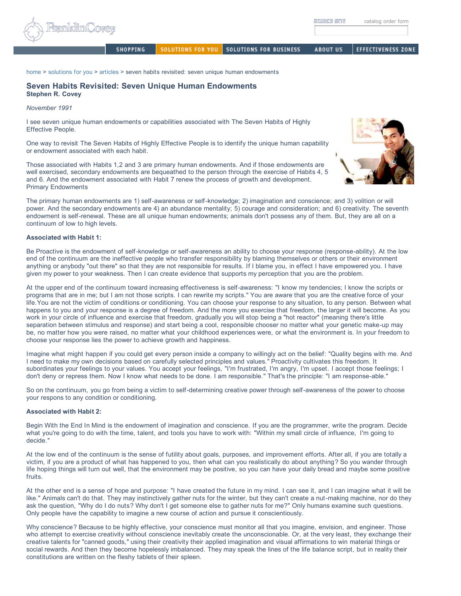SOLUTIONS FOR YOU SOLUTIONS FOR BUSINESS **ABOUT US** EFFECTIVENESS ZONE

home > solutions for you > articles > seven habits revisited: seven unique human endowments

### **Seven Habits Revisited: Seven Unique Human Endowments Stephen R. Covey**

**SHOPPING** 

*November 1991*

I see seven unique human endowments or capabilities associated with The Seven Habits of Highly Effective People.

One way to revisit The Seven Habits of Highly Effective People is to identify the unique human capability or endowment associated with each habit.

Those associated with Habits 1,2 and 3 are primary human endowments. And if those endowments are well exercised, secondary endowments are bequeathed to the person through the exercise of Habits 4, 5 and 6. And the endowment associated with Habit 7 renew the process of growth and development. Primary Endowments

The primary human endowments are 1) self-awareness or self-knowledge; 2) imagination and conscience; and 3) volition or will power. And the secondary endowments are 4) an abundance mentality; 5) courage and consideration; and 6) creativity. The seventh endowment is self-renewal. These are all unique human endowments; animals don't possess any of them. But, they are all on a continuum of low to high levels.

### **Associated with Habit 1:**

Be Proactive is the endowment of self-knowledge or self-awareness an ability to choose your response (response-ability). At the low end of the continuum are the ineffective people who transfer responsibility by blaming themselves or others or their environment anything or anybody "out there" so that they are not responsible for results. If I blame you, in effect I have empowered you. I have given my power to your weakness. Then I can create evidence that supports my perception that you are the problem.

At the upper end of the continuum toward increasing effectiveness is self-awareness: "I know my tendencies; I know the scripts or programs that are in me; but I am not those scripts. I can rewrite my scripts." You are aware that you are the creative force of your life.You are not the victim of conditions or conditioning. You can choose your response to any situation, to any person. Between what happens to you and your response is a degree of freedom. And the more you exercise that freedom, the larger it will become. As you work in your circle of influence and exercise that freedom, gradually you will stop being a "hot reactor" (meaning there's little separation between stimulus and response) and start being a cool, responsible chooser no matter what your genetic make-up may be, no matter how you were raised, no matter what your childhood experiences were, or what the environment is. In your freedom to choose your response lies the power to achieve growth and happiness.

Imagine what might happen if you could get every person inside a company to willingly act on the belief: "Quality begins with me. And I need to make my own decisions based on carefully selected principles and values." Proactivity cultivates this freedom. It subordinates your feelings to your values. You accept your feelings, "I'm frustrated, I'm angry, I'm upset. I accept those feelings; I don't deny or repress them. Now I know what needs to be done. I am responsible." That's the principle: "I am response-able."

So on the continuum, you go from being a victim to self-determining creative power through self-awareness of the power to choose your respons to any condition or conditioning.

### **Associated with Habit 2:**

Begin With the End In Mind is the endowment of imagination and conscience. If you are the programmer, write the program. Decide what you're going to do with the time, talent, and tools you have to work with: "Within my small circle of influence, I'm going to decide."

At the low end of the continuum is the sense of futility about goals, purposes, and improvement efforts. After all, if you are totally a victim, if you are a product of what has happened to you, then what can you realistically do about anything? So you wander through life hoping things will turn out well, that the environment may be positive, so you can have your daily bread and maybe some positive fruits.

At the other end is a sense of hope and purpose: "I have created the future in my mind. I can see it, and I can imagine what it will be like." Animals can't do that. They may instinctively gather nuts for the winter, but they can't create a nut-making machine, nor do they ask the question, "Why do I do nuts? Why don't I get someone else to gather nuts for me?" Only humans examine such questions. Only people have the capability to imagine a new course of action and pursue it conscientiously.

Why conscience? Because to be highly effective, your conscience must monitor all that you imagine, envision, and engineer. Those who attempt to exercise creativity without conscience inevitably create the unconscionable. Or, at the very least, they exchange their creative talents for "canned goods," using their creativity their applied imagination and visual affirmations to win material things or social rewards. And then they become hopelessly imbalanced. They may speak the lines of the life balance script, but in reality their constitutions are written on the fleshy tablets of their spleen.

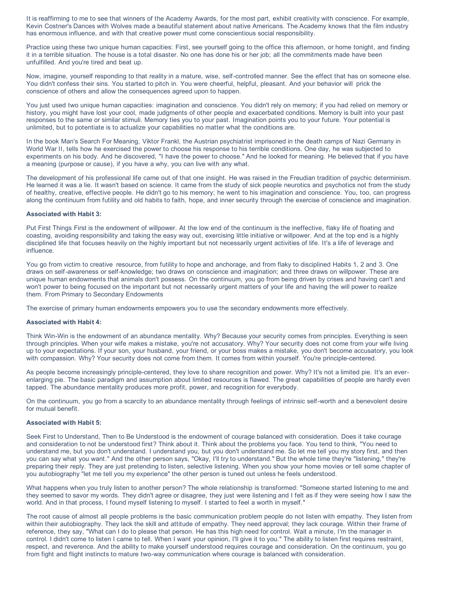It is reaffirming to me to see that winners of the Academy Awards, for the most part, exhibit creativity with conscience. For example, Kevin Costner's Dances with Wolves made a beautiful statement about native Americans. The Academy knows that the film industry has enormous influence, and with that creative power must come conscientious social responsibility.

Practice using these two unique human capacities: First, see yourself going to the office this afternoon, or home tonight, and finding it in a terrible situation. The house is a total disaster. No one has done his or her job; all the commitments made have been unfulfilled. And you're tired and beat up.

Now, imagine, yourself responding to that reality in a mature, wise, self-controlled manner. See the effect that has on someone else. You didn't confess their sins. You started to pitch in. You were cheerful, helpful, pleasant. And your behavior will prick the conscience of others and allow the consequences agreed upon to happen.

You just used two unique human capacities: imagination and conscience. You didn't rely on memory; if you had relied on memory or history, you might have lost your cool, made judgments of other people and exacerbated conditions. Memory is built into your past responses to the same or similar stimuli. Memory ties you to your past. Imagination points you to your future. Your potential is unlimited, but to potentiate is to actualize your capabilities no matter what the conditions are.

In the book Man's Search For Meaning, Viktor Frankl, the Austrian psychiatrist imprisoned in the death camps of Nazi Germany in World War II, tells how he exercised the power to choose his response to his terrible conditions. One day, he was subjected to experiments on his body. And he discovered, "I have the power to choose." And he looked for meaning. He believed that if you have a meaning (purpose or cause), if you have a why, you can live with any what.

The development of his professional life came out of that one insight. He was raised in the Freudian tradition of psychic determinism. He learned it was a lie. It wasn't based on science. It came from the study of sick people neurotics and psychotics not from the study of healthy, creative, effective people. He didn't go to his memory; he went to his imagination and conscience. You, too, can progress along the continuum from futility and old habits to faith, hope, and inner security through the exercise of conscience and imagination.

### **Associated with Habit 3:**

Put First Things First is the endowment of willpower. At the low end of the continuum is the ineffective, flaky life of floating and coasting, avoiding responsibility and taking the easy way out, exercising little initiative or willpower. And at the top end is a highly disciplined life that focuses heavily on the highly important but not necessarily urgent activities of life. It's a life of leverage and influence.

You go from victim to creative resource, from futility to hope and anchorage, and from flaky to disciplined Habits 1, 2 and 3. One draws on self-awareness or self-knowledge; two draws on conscience and imagination; and three draws on willpower. These are unique human endowments that animals don't possess. On the continuum, you go from being driven by crises and having can't and won't power to being focused on the important but not necessarily urgent matters of your life and having the will power to realize them. From Primary to Secondary Endowments

The exercise of primary human endowments empowers you to use the secondary endowments more effectively.

### **Associated with Habit 4:**

Think Win-Win is the endowment of an abundance mentality. Why? Because your security comes from principles. Everything is seen through principles. When your wife makes a mistake, you're not accusatory. Why? Your security does not come from your wife living up to your expectations. If your son, your husband, your friend, or your boss makes a mistake, you don't become accusatory, you look with compassion. Why? Your security does not come from them. It comes from within yourself. You're principle-centered.

As people become increasingly principle-centered, they love to share recognition and power. Why? It's not a limited pie. It's an everenlarging pie. The basic paradigm and assumption about limited resources is flawed. The great capabilities of people are hardly even tapped. The abundance mentality produces more profit, power, and recognition for everybody.

On the continuum, you go from a scarcity to an abundance mentality through feelings of intrinsic self-worth and a benevolent desire for mutual benefit.

### **Associated with Habit 5:**

Seek First to Understand, Then to Be Understood is the endowment of courage balanced with consideration. Does it take courage and consideration to not be understood first? Think about it. Think about the problems you face. You tend to think, "You need to understand me, but you don't understand. I understand you, but you don't understand me. So let me tell you my story first, and then you can say what you want." And the other person says, "Okay, I'll try to understand." But the whole time they're "listening," they're preparing their reply. They are just pretending to listen, selective listening. When you show your home movies or tell some chapter of you autobiography "let me tell you my experience" the other person is tuned out unless he feels understood.

What happens when you truly listen to another person? The whole relationship is transformed: "Someone started listening to me and they seemed to savor my words. They didn't agree or disagree, they just were listening and I felt as if they were seeing how I saw the world. And in that process, I found myself listening to myself. I started to feel a worth in myself."

The root cause of almost all people problems is the basic communication problem people do not listen with empathy. They listen from within their autobiography. They lack the skill and attitude of empathy. They need approval; they lack courage. Within their frame of reference, they say, "What can I do to please that person. He has this high need for control. Wait a minute, I'm the manager in control. I didn't come to listen I came to tell. When I want your opinion, I'll give it to you." The ability to listen first requires restraint, respect, and reverence. And the ability to make yourself understood requires courage and consideration. On the continuum, you go from fight and flight instincts to mature two-way communication where courage is balanced with consideration.